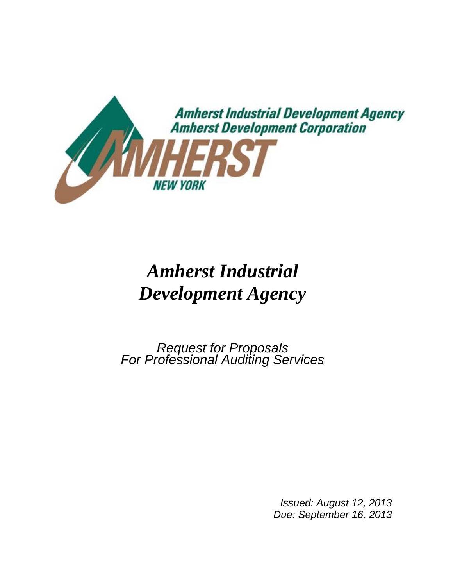

# *Amherst Industrial Development Agency*

*Request for Proposals For Professional Auditing Services*

*Issued: August 12, 2013 Due: September 16, 2013*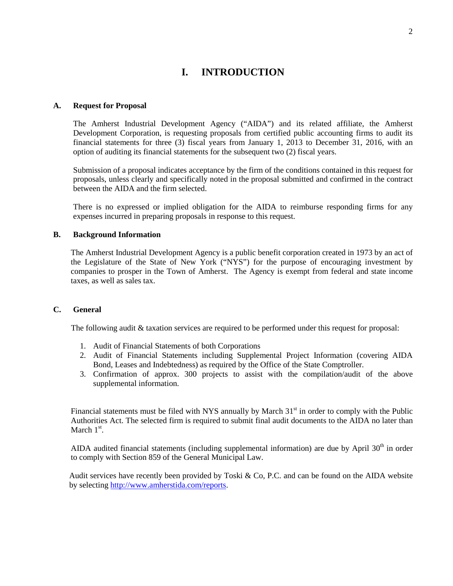# **I. INTRODUCTION**

#### **A. Request for Proposal**

The Amherst Industrial Development Agency ("AIDA") and its related affiliate, the Amherst Development Corporation, is requesting proposals from certified public accounting firms to audit its financial statements for three (3) fiscal years from January 1, 2013 to December 31, 2016, with an option of auditing its financial statements for the subsequent two (2) fiscal years.

Submission of a proposal indicates acceptance by the firm of the conditions contained in this request for proposals, unless clearly and specifically noted in the proposal submitted and confirmed in the contract between the AIDA and the firm selected.

There is no expressed or implied obligation for the AIDA to reimburse responding firms for any expenses incurred in preparing proposals in response to this request.

#### **B. Background Information**

The Amherst Industrial Development Agency is a public benefit corporation created in 1973 by an act of the Legislature of the State of New York ("NYS") for the purpose of encouraging investment by companies to prosper in the Town of Amherst. The Agency is exempt from federal and state income taxes, as well as sales tax.

# **C. General**

The following audit & taxation services are required to be performed under this request for proposal:

- 1. Audit of Financial Statements of both Corporations
- 2. Audit of Financial Statements including Supplemental Project Information (covering AIDA Bond, Leases and Indebtedness) as required by the Office of the State Comptroller.
- 3. Confirmation of approx. 300 projects to assist with the compilation/audit of the above supplemental information.

Financial statements must be filed with NYS annually by March  $31<sup>st</sup>$  in order to comply with the Public Authorities Act. The selected firm is required to submit final audit documents to the AIDA no later than March  $1<sup>st</sup>$ .

AIDA audited financial statements (including supplemental information) are due by April  $30<sup>th</sup>$  in order to comply with Section 859 of the General Municipal Law.

Audit services have recently been provided by Toski & Co, P.C. and can be found on the AIDA website by selecting [http://www.amherstida.com/reports.](http://www.amherstida.com/reports)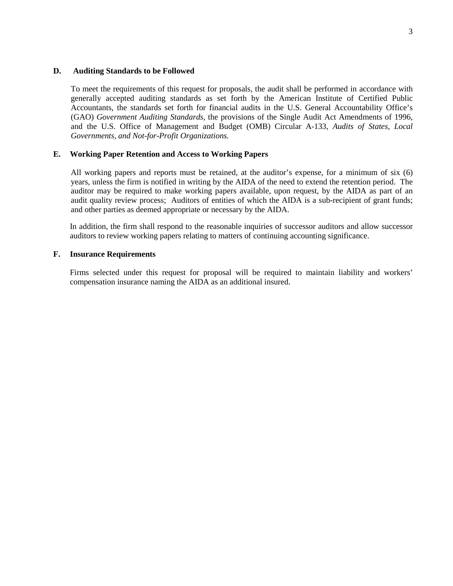#### **D. Auditing Standards to be Followed**

To meet the requirements of this request for proposals, the audit shall be performed in accordance with generally accepted auditing standards as set forth by the American Institute of Certified Public Accountants, the standards set forth for financial audits in the U.S. General Accountability Office's (GAO) *Government Auditing Standards*, the provisions of the Single Audit Act Amendments of 1996, and the U.S. Office of Management and Budget (OMB) Circular A-133, *Audits of States, Local Governments, and Not-for-Profit Organizations.*

# **E. Working Paper Retention and Access to Working Papers**

All working papers and reports must be retained, at the auditor's expense, for a minimum of six (6) years, unless the firm is notified in writing by the AIDA of the need to extend the retention period. The auditor may be required to make working papers available, upon request, by the AIDA as part of an audit quality review process; Auditors of entities of which the AIDA is a sub-recipient of grant funds; and other parties as deemed appropriate or necessary by the AIDA.

In addition, the firm shall respond to the reasonable inquiries of successor auditors and allow successor auditors to review working papers relating to matters of continuing accounting significance.

# **F. Insurance Requirements**

Firms selected under this request for proposal will be required to maintain liability and workers' compensation insurance naming the AIDA as an additional insured.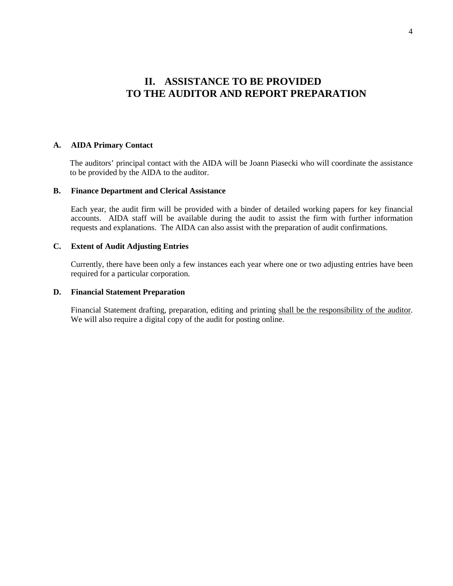# **II. ASSISTANCE TO BE PROVIDED TO THE AUDITOR AND REPORT PREPARATION**

#### **A. AIDA Primary Contact**

The auditors' principal contact with the AIDA will be Joann Piasecki who will coordinate the assistance to be provided by the AIDA to the auditor.

#### **B. Finance Department and Clerical Assistance**

Each year, the audit firm will be provided with a binder of detailed working papers for key financial accounts. AIDA staff will be available during the audit to assist the firm with further information requests and explanations. The AIDA can also assist with the preparation of audit confirmations.

# **C. Extent of Audit Adjusting Entries**

Currently, there have been only a few instances each year where one or two adjusting entries have been required for a particular corporation.

# **D. Financial Statement Preparation**

Financial Statement drafting, preparation, editing and printing shall be the responsibility of the auditor. We will also require a digital copy of the audit for posting online.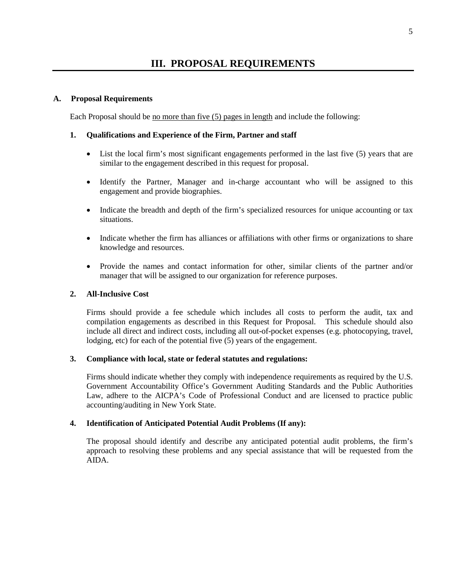# **A. Proposal Requirements**

Each Proposal should be no more than five (5) pages in length and include the following:

# **1. Qualifications and Experience of the Firm, Partner and staff**

- List the local firm's most significant engagements performed in the last five (5) years that are similar to the engagement described in this request for proposal.
- Identify the Partner, Manager and in-charge accountant who will be assigned to this engagement and provide biographies.
- Indicate the breadth and depth of the firm's specialized resources for unique accounting or tax situations.
- Indicate whether the firm has alliances or affiliations with other firms or organizations to share knowledge and resources.
- Provide the names and contact information for other, similar clients of the partner and/or manager that will be assigned to our organization for reference purposes.

# **2. All-Inclusive Cost**

Firms should provide a fee schedule which includes all costs to perform the audit, tax and compilation engagements as described in this Request for Proposal. This schedule should also include all direct and indirect costs, including all out-of-pocket expenses (e.g. photocopying, travel, lodging, etc) for each of the potential five (5) years of the engagement.

# **3. Compliance with local, state or federal statutes and regulations:**

Firms should indicate whether they comply with independence requirements as required by the U.S. Government Accountability Office's Government Auditing Standards and the Public Authorities Law, adhere to the AICPA's Code of Professional Conduct and are licensed to practice public accounting/auditing in New York State.

# **4. Identification of Anticipated Potential Audit Problems (If any):**

The proposal should identify and describe any anticipated potential audit problems, the firm's approach to resolving these problems and any special assistance that will be requested from the AIDA.